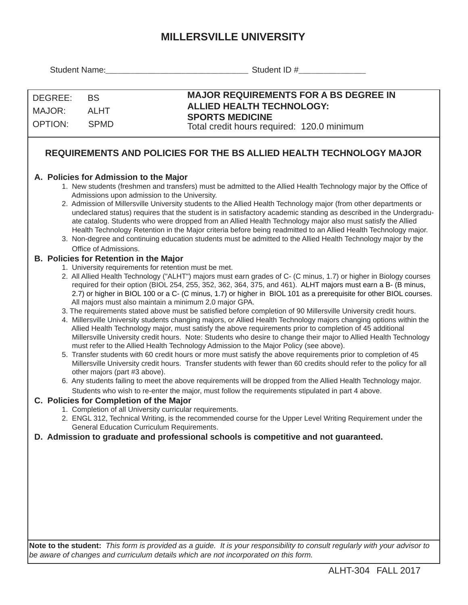## **MILLERSVILLE UNIVERSITY**

| Student Name:                       |                                                                                                                                                                                                                                                                                                                                                        | Student ID #                                                                                                                                                                                                                                                                                                                                                                                                                                                                                                                                                                                                                                                                                                                                                                                                                                                                                                                                                                                                                                                                                                                                                                                                                                                                                                                                                                                                                                                                                                                                                                                            |
|-------------------------------------|--------------------------------------------------------------------------------------------------------------------------------------------------------------------------------------------------------------------------------------------------------------------------------------------------------------------------------------------------------|---------------------------------------------------------------------------------------------------------------------------------------------------------------------------------------------------------------------------------------------------------------------------------------------------------------------------------------------------------------------------------------------------------------------------------------------------------------------------------------------------------------------------------------------------------------------------------------------------------------------------------------------------------------------------------------------------------------------------------------------------------------------------------------------------------------------------------------------------------------------------------------------------------------------------------------------------------------------------------------------------------------------------------------------------------------------------------------------------------------------------------------------------------------------------------------------------------------------------------------------------------------------------------------------------------------------------------------------------------------------------------------------------------------------------------------------------------------------------------------------------------------------------------------------------------------------------------------------------------|
| DEGREE:<br>MAJOR:<br><b>OPTION:</b> | <b>BS</b><br><b>ALHT</b><br><b>SPMD</b>                                                                                                                                                                                                                                                                                                                | <b>MAJOR REQUIREMENTS FOR A BS DEGREE IN</b><br><b>ALLIED HEALTH TECHNOLOGY:</b><br><b>SPORTS MEDICINE</b><br>Total credit hours required: 120.0 minimum<br>REQUIREMENTS AND POLICIES FOR THE BS ALLIED HEALTH TECHNOLOGY MAJOR                                                                                                                                                                                                                                                                                                                                                                                                                                                                                                                                                                                                                                                                                                                                                                                                                                                                                                                                                                                                                                                                                                                                                                                                                                                                                                                                                                         |
|                                     | A. Policies for Admission to the Major<br>Admissions upon admission to the University.<br>Office of Admissions.                                                                                                                                                                                                                                        | 1. New students (freshmen and transfers) must be admitted to the Allied Health Technology major by the Office of<br>2. Admission of Millersville University students to the Allied Health Technology major (from other departments or<br>undeclared status) requires that the student is in satisfactory academic standing as described in the Undergradu-<br>ate catalog. Students who were dropped from an Allied Health Technology major also must satisfy the Allied<br>Health Technology Retention in the Major criteria before being readmitted to an Allied Health Technology major.<br>3. Non-degree and continuing education students must be admitted to the Allied Health Technology major by the                                                                                                                                                                                                                                                                                                                                                                                                                                                                                                                                                                                                                                                                                                                                                                                                                                                                                            |
|                                     | <b>B. Policies for Retention in the Major</b><br>1. University requirements for retention must be met.<br>All majors must also maintain a minimum 2.0 major GPA.<br>other majors (part #3 above).<br>C. Policies for Completion of the Major<br>1. Completion of all University curricular requirements.<br>General Education Curriculum Requirements. | 2. All Allied Health Technology ("ALHT") majors must earn grades of C- (C minus, 1.7) or higher in Biology courses<br>required for their option (BIOL 254, 255, 352, 362, 364, 375, and 461). ALHT majors must earn a B- (B minus,<br>2.7) or higher in BIOL 100 or a C- (C minus, 1.7) or higher in BIOL 101 as a prerequisite for other BIOL courses.<br>3. The requirements stated above must be satisfied before completion of 90 Millersville University credit hours.<br>4. Millersville University students changing majors, or Allied Health Technology majors changing options within the<br>Allied Health Technology major, must satisfy the above requirements prior to completion of 45 additional<br>Millersville University credit hours. Note: Students who desire to change their major to Allied Health Technology<br>must refer to the Allied Health Technology Admission to the Major Policy (see above).<br>5. Transfer students with 60 credit hours or more must satisfy the above requirements prior to completion of 45<br>Millersville University credit hours. Transfer students with fewer than 60 credits should refer to the policy for all<br>6. Any students failing to meet the above requirements will be dropped from the Allied Health Technology major.<br>Students who wish to re-enter the major, must follow the requirements stipulated in part 4 above.<br>2. ENGL 312, Technical Writing, is the recommended course for the Upper Level Writing Requirement under the<br>D. Admission to graduate and professional schools is competitive and not guaranteed. |
|                                     |                                                                                                                                                                                                                                                                                                                                                        |                                                                                                                                                                                                                                                                                                                                                                                                                                                                                                                                                                                                                                                                                                                                                                                                                                                                                                                                                                                                                                                                                                                                                                                                                                                                                                                                                                                                                                                                                                                                                                                                         |

**Note to the student:** *This form is provided as a guide. It is your responsibility to consult regularly with your advisor to be aware of changes and curriculum details which are not incorporated on this form.*